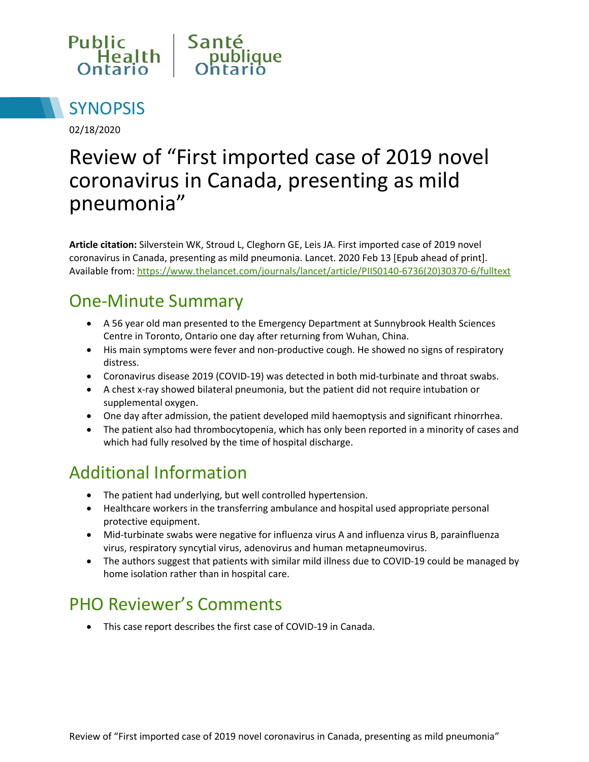



02/18/2020

# Review of "First imported case of 2019 novel coronavirus in Canada, presenting as mild pneumonia"

**Article citation:** Silverstein WK, Stroud L, Cleghorn GE, Leis JA. First imported case of 2019 novel coronavirus in Canada, presenting as mild pneumonia. Lancet. 2020 Feb 13 [Epub ahead of print]. Available from[: https://www.thelancet.com/journals/lancet/article/PIIS0140-6736\(20\)30370-6/fulltext](https://www.thelancet.com/journals/lancet/article/PIIS0140-6736(20)30370-6/fulltext)

### One-Minute Summary

- A 56 year old man presented to the Emergency Department at Sunnybrook Health Sciences Centre in Toronto, Ontario one day after returning from Wuhan, China.
- His main symptoms were fever and non-productive cough. He showed no signs of respiratory distress.
- Coronavirus disease 2019 (COVID-19) was detected in both mid-turbinate and throat swabs.
- A chest x-ray showed bilateral pneumonia, but the patient did not require intubation or supplemental oxygen.
- One day after admission, the patient developed mild haemoptysis and significant rhinorrhea.
- The patient also had thrombocytopenia, which has only been reported in a minority of cases and which had fully resolved by the time of hospital discharge.

### Additional Information

- The patient had underlying, but well controlled hypertension.
- Healthcare workers in the transferring ambulance and hospital used appropriate personal protective equipment.
- Mid-turbinate swabs were negative for influenza virus A and influenza virus B, parainfluenza virus, respiratory syncytial virus, adenovirus and human metapneumovirus.
- The authors suggest that patients with similar mild illness due to COVID-19 could be managed by home isolation rather than in hospital care.

### PHO Reviewer's Comments

This case report describes the first case of COVID-19 in Canada.